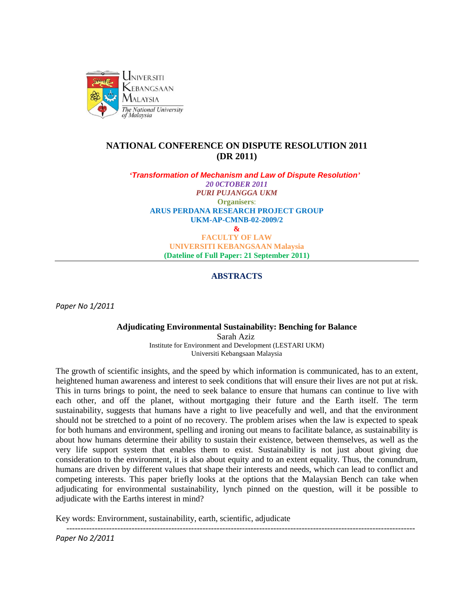

# **NATIONAL CONFERENCE ON DISPUTE RESOLUTION 2011 (DR 2011)**

*'Transformation of Mechanism and Law of Dispute Resolution' 20 0CTOBER 2011 PURI PUJANGGA UKM* **Organisers**: **ARUS PERDANA RESEARCH PROJECT GROUP UKM-AP-CMNB-02-2009/2 & FACULTY OF LAW UNIVERSITI KEBANGSAAN Malaysia**

**(Dateline of Full Paper: 21 September 2011)**

## **ABSTRACTS**

*Paper No 1/2011*

**Adjudicating Environmental Sustainability: Benching for Balance** Sarah Aziz Institute for Environment and Development (LESTARI UKM) Universiti Kebangsaan Malaysia

The growth of scientific insights, and the speed by which information is communicated, has to an extent, heightened human awareness and interest to seek conditions that will ensure their lives are not put at risk. This in turns brings to point, the need to seek balance to ensure that humans can continue to live with each other, and off the planet, without mortgaging their future and the Earth itself. The term sustainability, suggests that humans have a right to live peacefully and well, and that the environment should not be stretched to a point of no recovery. The problem arises when the law is expected to speak for both humans and environment, spelling and ironing out means to facilitate balance, as sustainability is about how humans determine their ability to sustain their existence, between themselves, as well as the very life support system that enables them to exist. Sustainability is not just about giving due consideration to the environment, it is also about equity and to an extent equality. Thus, the conundrum, humans are driven by different values that shape their interests and needs, which can lead to conflict and competing interests. This paper briefly looks at the options that the Malaysian Bench can take when adjudicating for environmental sustainability, lynch pinned on the question, will it be possible to adjudicate with the Earths interest in mind?

Key words: Envirornment, sustainability, earth, scientific, adjudicate

---------------------------------------------------------------------------------------------------------------------------

*Paper No 2/2011*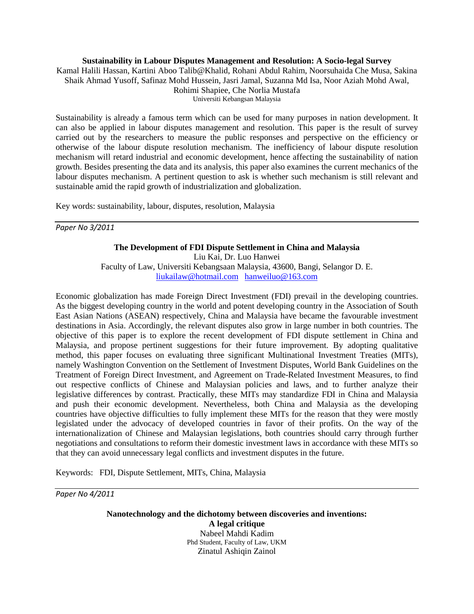## **Sustainability in Labour Disputes Management and Resolution: A Socio-legal Survey**

Kamal Halili Hassan, Kartini Aboo Talib@Khalid, Rohani Abdul Rahim, Noorsuhaida Che Musa, Sakina Shaik Ahmad Yusoff, Safinaz Mohd Hussein, Jasri Jamal, Suzanna Md Isa, Noor Aziah Mohd Awal, Rohimi Shapiee, Che Norlia Mustafa Universiti Kebangsan Malaysia

Sustainability is already a famous term which can be used for many purposes in nation development. It can also be applied in labour disputes management and resolution. This paper is the result of survey carried out by the researchers to measure the public responses and perspective on the efficiency or otherwise of the labour dispute resolution mechanism. The inefficiency of labour dispute resolution mechanism will retard industrial and economic development, hence affecting the sustainability of nation growth. Besides presenting the data and its analysis, this paper also examines the current mechanics of the labour disputes mechanism. A pertinent question to ask is whether such mechanism is still relevant and sustainable amid the rapid growth of industrialization and globalization.

Key words: sustainability, labour, disputes, resolution, Malaysia

*Paper No 3/2011*

# **The Development of FDI Dispute Settlement in China and Malaysia**

Liu Kai, Dr. Luo Hanwei

Faculty of Law, Universiti Kebangsaan Malaysia, 43600, Bangi, Selangor D. E. [liukailaw@hotmail.com](mailto:liukailaw@hotmail.com) [hanweiluo@163.com](mailto:hanweiluo@163.com)

Economic globalization has made Foreign Direct Investment (FDI) prevail in the developing countries. As the biggest developing country in the world and potent developing country in the Association of South East Asian Nations (ASEAN) respectively, China and Malaysia have became the favourable investment destinations in Asia. Accordingly, the relevant disputes also grow in large number in both countries. The objective of this paper is to explore the recent development of FDI dispute settlement in China and Malaysia, and propose pertinent suggestions for their future improvement. By adopting qualitative method, this paper focuses on evaluating three significant Multinational Investment Treaties (MITs), namely Washington Convention on the Settlement of Investment Disputes, World Bank Guidelines on the Treatment of Foreign Direct Investment, and Agreement on Trade-Related Investment Measures, to find out respective conflicts of Chinese and Malaysian policies and laws, and to further analyze their legislative differences by contrast. Practically, these MITs may standardize FDI in China and Malaysia and push their economic development. Nevertheless, both China and Malaysia as the developing countries have objective difficulties to fully implement these MITs for the reason that they were mostly legislated under the advocacy of developed countries in favor of their profits. On the way of the internationalization of Chinese and Malaysian legislations, both countries should carry through further negotiations and consultations to reform their domestic investment laws in accordance with these MITs so that they can avoid unnecessary legal conflicts and investment disputes in the future.

Keywords: FDI, Dispute Settlement, MITs, China, Malaysia

*Paper No 4/2011*

**Nanotechnology and the dichotomy between discoveries and inventions: A legal critique** Nabeel Mahdi Kadim Phd Student, Faculty of Law, UKM Zinatul Ashiqin Zainol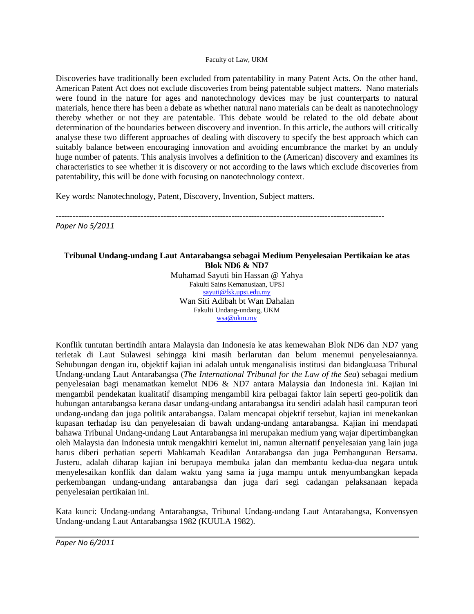#### Faculty of Law, UKM

Discoveries have traditionally been excluded from patentability in many Patent Acts. On the other hand, American Patent Act does not exclude discoveries from being patentable subject matters. Nano materials were found in the nature for ages and nanotechnology devices may be just counterparts to natural materials, hence there has been a debate as whether natural nano materials can be dealt as nanotechnology thereby whether or not they are patentable. This debate would be related to the old debate about determination of the boundaries between discovery and invention. In this article, the authors will critically analyse these two different approaches of dealing with discovery to specify the best approach which can suitably balance between encouraging innovation and avoiding encumbrance the market by an unduly huge number of patents. This analysis involves a definition to the (American) discovery and examines its characteristics to see whether it is discovery or not according to the laws which exclude discoveries from patentability, this will be done with focusing on nanotechnology context.

Key words: Nanotechnology, Patent, Discovery, Invention, Subject matters.

--------------------------------------------------------------------------------------------------------------------

*Paper No 5/2011*

## **Tribunal Undang-undang Laut Antarabangsa sebagai Medium Penyelesaian Pertikaian ke atas Blok ND6 & ND7**

Muhamad Sayuti bin Hassan @ Yahya Fakulti Sains Kemanusiaan, UPSI [sayuti@fsk.upsi.edu.my](mailto:sayuti@fsk.upsi.edu.my) Wan Siti Adibah bt Wan Dahalan Fakulti Undang-undang, UKM [wsa@ukm.my](mailto:wsa@ukm.my)

Konflik tuntutan bertindih antara Malaysia dan Indonesia ke atas kemewahan Blok ND6 dan ND7 yang terletak di Laut Sulawesi sehingga kini masih berlarutan dan belum menemui penyelesaiannya. Sehubungan dengan itu, objektif kajian ini adalah untuk menganalisis institusi dan bidangkuasa Tribunal Undang-undang Laut Antarabangsa (*The International Tribunal for the Law of the Sea*) sebagai medium penyelesaian bagi menamatkan kemelut ND6 & ND7 antara Malaysia dan Indonesia ini. Kajian ini mengambil pendekatan kualitatif disamping mengambil kira pelbagai faktor lain seperti geo-politik dan hubungan antarabangsa kerana dasar undang-undang antarabangsa itu sendiri adalah hasil campuran teori undang-undang dan juga politik antarabangsa. Dalam mencapai objektif tersebut, kajian ini menekankan kupasan terhadap isu dan penyelesaian di bawah undang-undang antarabangsa. Kajian ini mendapati bahawa Tribunal Undang-undang Laut Antarabangsa ini merupakan medium yang wajar dipertimbangkan oleh Malaysia dan Indonesia untuk mengakhiri kemelut ini, namun alternatif penyelesaian yang lain juga harus diberi perhatian seperti Mahkamah Keadilan Antarabangsa dan juga Pembangunan Bersama. Justeru, adalah diharap kajian ini berupaya membuka jalan dan membantu kedua-dua negara untuk menyelesaikan konflik dan dalam waktu yang sama ia juga mampu untuk menyumbangkan kepada perkembangan undang-undang antarabangsa dan juga dari segi cadangan pelaksanaan kepada penyelesaian pertikaian ini.

Kata kunci: Undang-undang Antarabangsa, Tribunal Undang-undang Laut Antarabangsa, Konvensyen Undang-undang Laut Antarabangsa 1982 (KUULA 1982).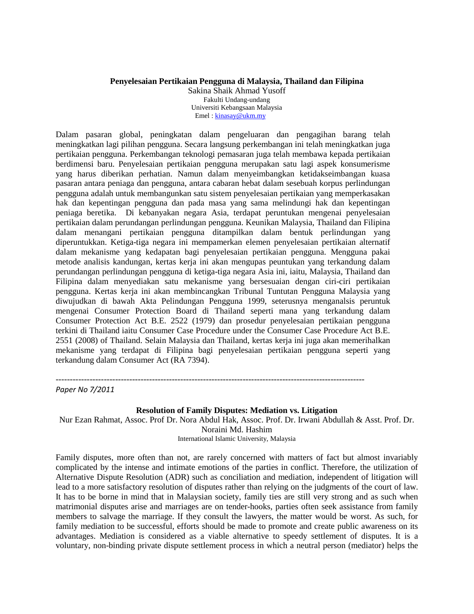## **Penyelesaian Pertikaian Pengguna di Malaysia, Thailand dan Filipina**

Sakina Shaik Ahmad Yusoff Fakulti Undang-undang Universiti Kebangsaan Malaysia Emel : [kinasay@ukm.my](mailto:kinasay@ukm.my)

Dalam pasaran global, peningkatan dalam pengeluaran dan pengagihan barang telah meningkatkan lagi pilihan pengguna. Secara langsung perkembangan ini telah meningkatkan juga pertikaian pengguna. Perkembangan teknologi pemasaran juga telah membawa kepada pertikaian berdimensi baru. Penyelesaian pertikaian pengguna merupakan satu lagi aspek konsumerisme yang harus diberikan perhatian. Namun dalam menyeimbangkan ketidakseimbangan kuasa pasaran antara peniaga dan pengguna, antara cabaran hebat dalam sesebuah korpus perlindungan pengguna adalah untuk membangunkan satu sistem penyelesaian pertikaian yang memperkasakan hak dan kepentingan pengguna dan pada masa yang sama melindungi hak dan kepentingan peniaga beretika. Di kebanyakan negara Asia, terdapat peruntukan mengenai penyelesaian pertikaian dalam perundangan perlindungan pengguna. Keunikan Malaysia, Thailand dan Filipina dalam menangani pertikaian pengguna ditampilkan dalam bentuk perlindungan yang diperuntukkan. Ketiga-tiga negara ini mempamerkan elemen penyelesaian pertikaian alternatif dalam mekanisme yang kedapatan bagi penyelesaian pertikaian pengguna. Mengguna pakai metode analisis kandungan, kertas kerja ini akan mengupas peuntukan yang terkandung dalam perundangan perlindungan pengguna di ketiga-tiga negara Asia ini, iaitu, Malaysia, Thailand dan Filipina dalam menyediakan satu mekanisme yang bersesuaian dengan ciri-ciri pertikaian pengguna. Kertas kerja ini akan membincangkan Tribunal Tuntutan Pengguna Malaysia yang diwujudkan di bawah Akta Pelindungan Pengguna 1999, seterusnya menganalsis peruntuk mengenai Consumer Protection Board di Thailand seperti mana yang terkandung dalam Consumer Protection Act B.E. 2522 (1979) dan prosedur penyelesaian pertikaian pengguna terkini di Thailand iaitu Consumer Case Procedure under the Consumer Case Procedure Act B.E. 2551 (2008) of Thailand. Selain Malaysia dan Thailand, kertas kerja ini juga akan memerihalkan mekanisme yang terdapat di Filipina bagi penyelesaian pertikaian pengguna seperti yang terkandung dalam Consumer Act (RA 7394).

------------------------------------------------------------------------------------------------------------- *Paper No 7/2011*

#### **Resolution of Family Disputes: Mediation vs. Litigation**

Nur Ezan Rahmat, Assoc. Prof Dr. Nora Abdul Hak, Assoc. Prof. Dr. Irwani Abdullah & Asst. Prof. Dr. Noraini Md. Hashim International Islamic University, Malaysia

Family disputes, more often than not, are rarely concerned with matters of fact but almost invariably complicated by the intense and intimate emotions of the parties in conflict. Therefore, the utilization of Alternative Dispute Resolution (ADR) such as conciliation and mediation, independent of litigation will lead to a more satisfactory resolution of disputes rather than relying on the judgments of the court of law. It has to be borne in mind that in Malaysian society, family ties are still very strong and as such when matrimonial disputes arise and marriages are on tender-hooks, parties often seek assistance from family members to salvage the marriage. If they consult the lawyers, the matter would be worst. As such, for family mediation to be successful, efforts should be made to promote and create public awareness on its advantages. Mediation is considered as a viable alternative to speedy settlement of disputes. It is a voluntary, non-binding private dispute settlement process in which a neutral person (mediator) helps the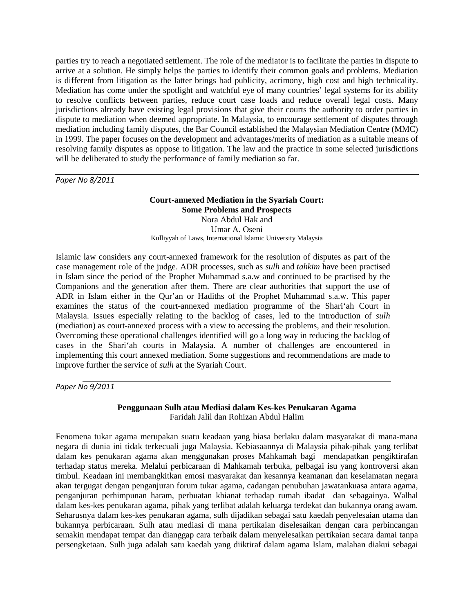parties try to reach a negotiated settlement. The role of the mediator is to facilitate the parties in dispute to arrive at a solution. He simply helps the parties to identify their common goals and problems. Mediation is different from litigation as the latter brings bad publicity, acrimony, high cost and high technicality. Mediation has come under the spotlight and watchful eye of many countries' legal systems for its ability to resolve conflicts between parties, reduce court case loads and reduce overall legal costs. Many jurisdictions already have existing legal provisions that give their courts the authority to order parties in dispute to mediation when deemed appropriate. In Malaysia, to encourage settlement of disputes through mediation including family disputes, the Bar Council established the Malaysian Mediation Centre (MMC) in 1999. The paper focuses on the development and advantages/merits of mediation as a suitable means of resolving family disputes as oppose to litigation. The law and the practice in some selected jurisdictions will be deliberated to study the performance of family mediation so far.

*Paper No 8/2011*

## **Court-annexed Mediation in the Syariah Court: Some Problems and Prospects** Nora Abdul Hak and Umar A. Oseni Kulliyyah of Laws, International Islamic University Malaysia

Islamic law considers any court-annexed framework for the resolution of disputes as part of the case management role of the judge. ADR processes, such as *sulh* and *tahkim* have been practised in Islam since the period of the Prophet Muhammad s.a.w and continued to be practised by the Companions and the generation after them. There are clear authorities that support the use of ADR in Islam either in the Qur'an or Hadiths of the Prophet Muhammad s.a.w. This paper examines the status of the court-annexed mediation programme of the Shari'ah Court in Malaysia. Issues especially relating to the backlog of cases, led to the introduction of *sulh* (mediation) as court-annexed process with a view to accessing the problems, and their resolution. Overcoming these operational challenges identified will go a long way in reducing the backlog of cases in the Shari'ah courts in Malaysia. A number of challenges are encountered in implementing this court annexed mediation. Some suggestions and recommendations are made to improve further the service of *sulh* at the Syariah Court.

*Paper No 9/2011*

## **Penggunaan Sulh atau Mediasi dalam Kes-kes Penukaran Agama** Faridah Jalil dan Rohizan Abdul Halim

Fenomena tukar agama merupakan suatu keadaan yang biasa berlaku dalam masyarakat di mana-mana negara di dunia ini tidak terkecuali juga Malaysia. Kebiasaannya di Malaysia pihak-pihak yang terlibat dalam kes penukaran agama akan menggunakan proses Mahkamah bagi mendapatkan pengiktirafan terhadap status mereka. Melalui perbicaraan di Mahkamah terbuka, pelbagai isu yang kontroversi akan timbul. Keadaan ini membangkitkan emosi masyarakat dan kesannya keamanan dan keselamatan negara akan tergugat dengan penganjuran forum tukar agama, cadangan penubuhan jawatankuasa antara agama, penganjuran perhimpunan haram, perbuatan khianat terhadap rumah ibadat dan sebagainya. Walhal dalam kes-kes penukaran agama, pihak yang terlibat adalah keluarga terdekat dan bukannya orang awam. Seharusnya dalam kes-kes penukaran agama, sulh dijadikan sebagai satu kaedah penyelesaian utama dan bukannya perbicaraan. Sulh atau mediasi di mana pertikaian diselesaikan dengan cara perbincangan semakin mendapat tempat dan dianggap cara terbaik dalam menyelesaikan pertikaian secara damai tanpa persengketaan. Sulh juga adalah satu kaedah yang diiktiraf dalam agama Islam, malahan diakui sebagai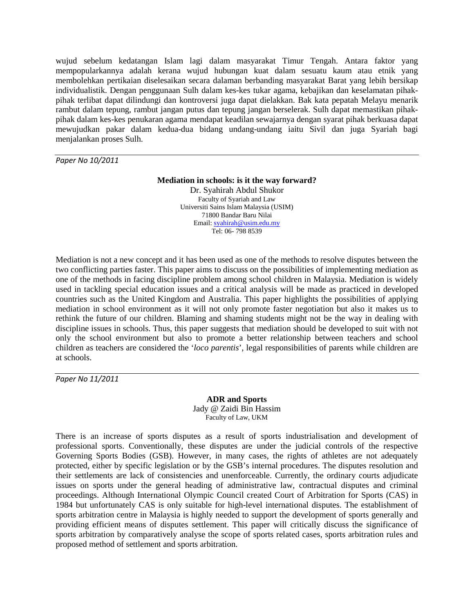wujud sebelum kedatangan Islam lagi dalam masyarakat Timur Tengah. Antara faktor yang mempopularkannya adalah kerana wujud hubungan kuat dalam sesuatu kaum atau etnik yang membolehkan pertikaian diselesaikan secara dalaman berbanding masyarakat Barat yang lebih bersikap individualistik. Dengan penggunaan Sulh dalam kes-kes tukar agama, kebajikan dan keselamatan pihakpihak terlibat dapat dilindungi dan kontroversi juga dapat dielakkan. Bak kata pepatah Melayu menarik rambut dalam tepung, rambut jangan putus dan tepung jangan berselerak. Sulh dapat memastikan pihakpihak dalam kes-kes penukaran agama mendapat keadilan sewajarnya dengan syarat pihak berkuasa dapat mewujudkan pakar dalam kedua-dua bidang undang-undang iaitu Sivil dan juga Syariah bagi menjalankan proses Sulh.

*Paper No 10/2011*

#### **Mediation in schools: is it the way forward?**

Dr. Syahirah Abdul Shukor Faculty of Syariah and Law Universiti Sains Islam Malaysia (USIM) 71800 Bandar Baru Nilai Email[: syahirah@usim.edu.my](mailto:syahirah@usim.edu.my) Tel: 06- 798 8539

Mediation is not a new concept and it has been used as one of the methods to resolve disputes between the two conflicting parties faster. This paper aims to discuss on the possibilities of implementing mediation as one of the methods in facing discipline problem among school children in Malaysia. Mediation is widely used in tackling special education issues and a critical analysis will be made as practiced in developed countries such as the United Kingdom and Australia. This paper highlights the possibilities of applying mediation in school environment as it will not only promote faster negotiation but also it makes us to rethink the future of our children. Blaming and shaming students might not be the way in dealing with discipline issues in schools. Thus, this paper suggests that mediation should be developed to suit with not only the school environment but also to promote a better relationship between teachers and school children as teachers are considered the '*loco parentis*', legal responsibilities of parents while children are at schools.

*Paper No 11/2011*

**ADR and Sports** Jady @ Zaidi Bin Hassim Faculty of Law, UKM

There is an increase of sports disputes as a result of sports industrialisation and development of professional sports. Conventionally, these disputes are under the judicial controls of the respective Governing Sports Bodies (GSB). However, in many cases, the rights of athletes are not adequately protected, either by specific legislation or by the GSB's internal procedures. The disputes resolution and their settlements are lack of consistencies and unenforceable. Currently, the ordinary courts adjudicate issues on sports under the general heading of administrative law, contractual disputes and criminal proceedings. Although International Olympic Council created Court of Arbitration for Sports (CAS) in 1984 but unfortunately CAS is only suitable for high-level international disputes. The establishment of sports arbitration centre in Malaysia is highly needed to support the development of sports generally and providing efficient means of disputes settlement. This paper will critically discuss the significance of sports arbitration by comparatively analyse the scope of sports related cases, sports arbitration rules and proposed method of settlement and sports arbitration.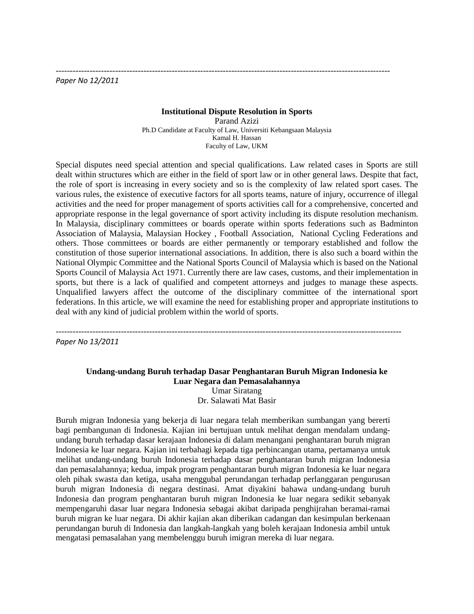*Paper No 12/2011*

#### **Institutional Dispute Resolution in Sports**

----------------------------------------------------------------------------------------------------------------------

Parand Azizi Ph.D Candidate at Faculty of Law, Universiti Kebangsaan Malaysia Kamal H. Hassan Faculty of Law, UKM

Special disputes need special attention and special qualifications. Law related cases in Sports are still dealt within structures which are either in the field of sport law or in other general laws. Despite that fact, the role of sport is increasing in every society and so is the complexity of law related sport cases. The various rules, the existence of executive factors for all sports teams, nature of injury, occurrence of illegal activities and the need for proper management of sports activities call for a comprehensive, concerted and appropriate response in the legal governance of sport activity including its dispute resolution mechanism. In Malaysia, disciplinary committees or boards operate within sports federations such as [Badminton](http://en.wikipedia.org/wiki/Badminton_Association_of_Malaysia)  [Association of Malaysia,](http://en.wikipedia.org/wiki/Badminton_Association_of_Malaysia) [Malaysian Hockey ,](http://en.wikipedia.org/wiki/Malaysian_Hockey_Federation) [Football Association,](http://en.wikipedia.org/wiki/Football_Association_of_Malaysia) [National Cycling Federations](http://en.wikipedia.org/wiki/Malaysian_National_Cycling_Federation) and others. Those committees or boards are either permanently or temporary established and follow the constitution of those superior international associations. In addition, there is also such a board within the National Olympic Committee and the National Sports Council of Malaysia which is based on the National Sports Council of Malaysia Act 1971. Currently there are law cases, customs, and their implementation in sports, but there is a lack of qualified and competent attorneys and judges to manage these aspects. Unqualified lawyers affect the outcome of the disciplinary committee of the international sport federations. In this article, we will examine the need for establishing proper and appropriate institutions to deal with any kind of judicial problem within the world of sports.

--------------------------------------------------------------------------------------------------------------------------

*Paper No 13/2011*

## **Undang-undang Buruh terhadap Dasar Penghantaran Buruh Migran Indonesia ke Luar Negara dan Pemasalahannya**  Umar Siratang Dr. Salawati Mat Basir

Buruh migran Indonesia yang bekerja di luar negara telah memberikan sumbangan yang bererti bagi pembangunan di Indonesia. Kajian ini bertujuan untuk melihat dengan mendalam undangundang buruh terhadap dasar kerajaan Indonesia di dalam menangani penghantaran buruh migran Indonesia ke luar negara. Kajian ini terbahagi kepada tiga perbincangan utama, pertamanya untuk melihat undang-undang buruh Indonesia terhadap dasar penghantaran buruh migran Indonesia dan pemasalahannya; kedua, impak program penghantaran buruh migran Indonesia ke luar negara oleh pihak swasta dan ketiga, usaha menggubal perundangan terhadap perlanggaran pengurusan buruh migran Indonesia di negara destinasi. Amat diyakini bahawa undang-undang buruh Indonesia dan program penghantaran buruh migran Indonesia ke luar negara sedikit sebanyak mempengaruhi dasar luar negara Indonesia sebagai akibat daripada penghijrahan beramai-ramai buruh migran ke luar negara. Di akhir kajian akan diberikan cadangan dan kesimpulan berkenaan perundangan buruh di Indonesia dan langkah-langkah yang boleh kerajaan Indonesia ambil untuk mengatasi pemasalahan yang membelenggu buruh imigran mereka di luar negara.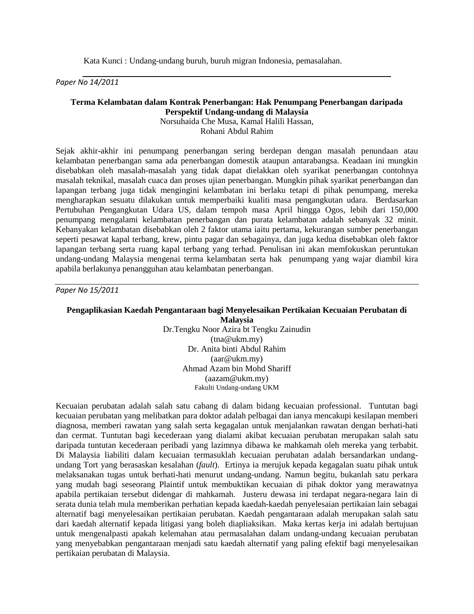Kata Kunci : Undang-undang buruh, buruh migran Indonesia, pemasalahan.

*Paper No 14/2011*

# **Terma Kelambatan dalam Kontrak Penerbangan: Hak Penumpang Penerbangan daripada Perspektif Undang-undang di Malaysia**

Norsuhaida Che Musa, Kamal Halili Hassan, Rohani Abdul Rahim

Sejak akhir-akhir ini penumpang penerbangan sering berdepan dengan masalah penundaan atau kelambatan penerbangan sama ada penerbangan domestik ataupun antarabangsa. Keadaan ini mungkin disebabkan oleh masalah-masalah yang tidak dapat dielakkan oleh syarikat penerbangan contohnya masalah teknikal, masalah cuaca dan proses ujian penerbangan. Mungkin pihak syarikat penerbangan dan lapangan terbang juga tidak mengingini kelambatan ini berlaku tetapi di pihak penumpang, mereka mengharapkan sesuatu dilakukan untuk memperbaiki kualiti masa pengangkutan udara. Berdasarkan Pertubuhan Pengangkutan Udara US, dalam tempoh masa April hingga Ogos, lebih dari 150,000 penumpang mengalami kelambatan penerbangan dan purata kelambatan adalah sebanyak 32 minit. Kebanyakan kelambatan disebabkan oleh 2 faktor utama iaitu pertama, kekurangan sumber penerbangan seperti pesawat kapal terbang, krew, pintu pagar dan sebagainya, dan juga kedua disebabkan oleh faktor lapangan terbang serta ruang kapal terbang yang terhad. Penulisan ini akan memfokuskan peruntukan undang-undang Malaysia mengenai terma kelambatan serta hak penumpang yang wajar diambil kira apabila berlakunya penangguhan atau kelambatan penerbangan.

*Paper No 15/2011*

#### **Pengaplikasian Kaedah Pengantaraan bagi Menyelesaikan Pertikaian Kecuaian Perubatan di Malaysia**

Dr.Tengku Noor Azira bt Tengku Zainudin (tna@ukm.my) Dr. Anita binti Abdul Rahim (aar@ukm.my) Ahmad Azam bin Mohd Shariff (aazam@ukm.my) Fakulti Undang-undang UKM

Kecuaian perubatan adalah salah satu cabang di dalam bidang kecuaian professional. Tuntutan bagi kecuaian perubatan yang melibatkan para doktor adalah pelbagai dan ianya mencakupi kesilapan memberi diagnosa, memberi rawatan yang salah serta kegagalan untuk menjalankan rawatan dengan berhati-hati dan cermat. Tuntutan bagi kecederaan yang dialami akibat kecuaian perubatan merupakan salah satu daripada tuntutan kecederaan peribadi yang lazimnya dibawa ke mahkamah oleh mereka yang terbabit. Di Malaysia liabiliti dalam kecuaian termasuklah kecuaian perubatan adalah bersandarkan undangundang Tort yang berasaskan kesalahan (*fault*). Ertinya ia merujuk kepada kegagalan suatu pihak untuk melaksanakan tugas untuk berhati-hati menurut undang-undang. Namun begitu, bukanlah satu perkara yang mudah bagi seseorang Plaintif untuk membuktikan kecuaian di pihak doktor yang merawatnya apabila pertikaian tersebut didengar di mahkamah. Justeru dewasa ini terdapat negara-negara lain di serata dunia telah mula memberikan perhatian kepada kaedah-kaedah penyelesaian pertikaian lain sebagai alternatif bagi menyelesaikan pertikaian perubatan. Kaedah pengantaraan adalah merupakan salah satu dari kaedah alternatif kepada litigasi yang boleh diapliaksikan. Maka kertas kerja ini adalah bertujuan untuk mengenalpasti apakah kelemahan atau permasalahan dalam undang-undang kecuaian perubatan yang menyebabkan pengantaraan menjadi satu kaedah alternatif yang paling efektif bagi menyelesaikan pertikaian perubatan di Malaysia.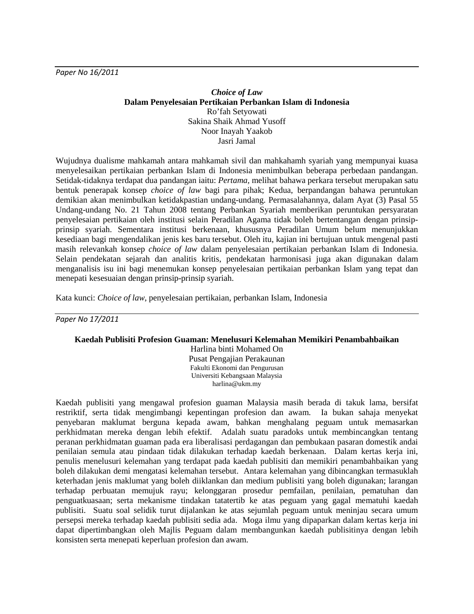*Paper No 16/2011*

## *Choice of Law* **Dalam Penyelesaian Pertikaian Perbankan Islam di Indonesia** Ro'fah Setyowati Sakina Shaik Ahmad Yusoff Noor Inayah Yaakob Jasri Jamal

Wujudnya dualisme mahkamah antara mahkamah sivil dan mahkahamh syariah yang mempunyai kuasa menyelesaikan pertikaian perbankan Islam di Indonesia menimbulkan beberapa perbedaan pandangan. Setidak-tidaknya terdapat dua pandangan iaitu: *Pertama,* melihat bahawa perkara tersebut merupakan satu bentuk penerapak konsep *choice of law* bagi para pihak; Kedua, berpandangan bahawa peruntukan demikian akan menimbulkan ketidakpastian undang-undang. Permasalahannya, dalam Ayat (3) Pasal 55 Undang-undang No. 21 Tahun 2008 tentang Perbankan Syariah memberikan peruntukan persyaratan penyelesaian pertikaian oleh institusi selain Peradilan Agama tidak boleh bertentangan dengan prinsipprinsip syariah. Sementara institusi berkenaan, khususnya Peradilan Umum belum menunjukkan kesediaan bagi mengendalikan jenis kes baru tersebut. Oleh itu, kajian ini bertujuan untuk mengenal pasti masih relevankah konsep *choice of law* dalam penyelesaian pertikaian perbankan Islam di Indonesia. Selain pendekatan sejarah dan analitis kritis, pendekatan harmonisasi juga akan digunakan dalam menganalisis isu ini bagi menemukan konsep penyelesaian pertikaian perbankan Islam yang tepat dan menepati kesesuaian dengan prinsip-prinsip syariah.

Kata kunci: *Choice of law*, penyelesaian pertikaian, perbankan Islam, Indonesia

*Paper No 17/2011*

#### **Kaedah Publisiti Profesion Guaman: Menelusuri Kelemahan Memikiri Penambahbaikan**

Harlina binti Mohamed On Pusat Pengajian Perakaunan Fakulti Ekonomi dan Pengurusan Universiti Kebangsaan Malaysia harlina@ukm.my

Kaedah publisiti yang mengawal profesion guaman Malaysia masih berada di takuk lama, bersifat restriktif, serta tidak mengimbangi kepentingan profesion dan awam. Ia bukan sahaja menyekat penyebaran maklumat berguna kepada awam, bahkan menghalang peguam untuk memasarkan perkhidmatan mereka dengan lebih efektif. Adalah suatu paradoks untuk membincangkan tentang peranan perkhidmatan guaman pada era liberalisasi perdagangan dan pembukaan pasaran domestik andai penilaian semula atau pindaan tidak dilakukan terhadap kaedah berkenaan. Dalam kertas kerja ini, penulis menelusuri kelemahan yang terdapat pada kaedah publisiti dan memikiri penambahbaikan yang boleh dilakukan demi mengatasi kelemahan tersebut. Antara kelemahan yang dibincangkan termasuklah keterhadan jenis maklumat yang boleh diiklankan dan medium publisiti yang boleh digunakan; larangan terhadap perbuatan memujuk rayu; kelonggaran prosedur pemfailan, penilaian, pematuhan dan penguatkuasaan; serta mekanisme tindakan tatatertib ke atas peguam yang gagal mematuhi kaedah publisiti. Suatu soal selidik turut dijalankan ke atas sejumlah peguam untuk meninjau secara umum persepsi mereka terhadap kaedah publisiti sedia ada. Moga ilmu yang dipaparkan dalam kertas kerja ini dapat dipertimbangkan oleh Majlis Peguam dalam membangunkan kaedah publisitinya dengan lebih konsisten serta menepati keperluan profesion dan awam.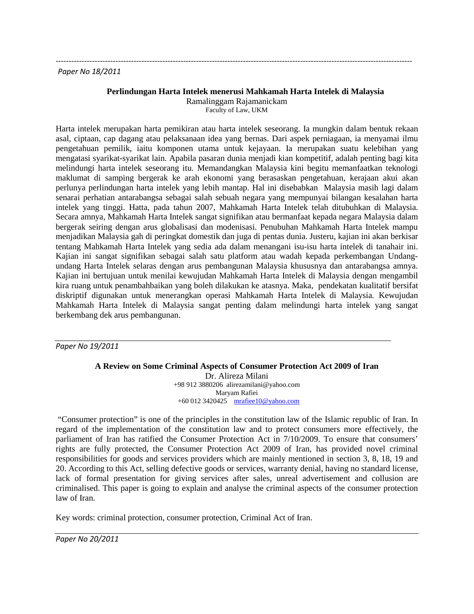### *Paper No 18/2011*

## **Perlindungan Harta Intelek menerusi Mahkamah Harta Intelek di Malaysia** Ramalinggam Rajamanickam

Faculty of Law, UKM

-----------------------------------------------------------------------------------------------------------------------------------------

Harta intelek merupakan harta pemikiran atau harta intelek seseorang. Ia mungkin dalam bentuk rekaan asal, ciptaan, cap dagang atau pelaksanaan idea yang bernas. Dari aspek perniagaan, ia menyamai ilmu pengetahuan pemilik, iaitu komponen utama untuk kejayaan. Ia merupakan suatu kelebihan yang mengatasi syarikat-syarikat lain. Apabila pasaran dunia menjadi kian kompetitif, adalah penting bagi kita melindungi harta intelek seseorang itu. Memandangkan Malaysia kini begitu memanfaatkan teknologi maklumat di samping bergerak ke arah ekonomi yang berasaskan pengetahuan, kerajaan akui akan perlunya perlindungan harta intelek yang lebih mantap. Hal ini disebabkan Malaysia masih lagi dalam senarai perhatian antarabangsa sebagai salah sebuah negara yang mempunyai bilangan kesalahan harta intelek yang tinggi. Hatta, pada tahun 2007, Mahkamah Harta Intelek telah ditubuhkan di Malaysia. Secara amnya, Mahkamah Harta Intelek sangat signifikan atau bermanfaat kepada negara Malaysia dalam bergerak seiring dengan arus globalisasi dan modenisasi. Penubuhan Mahkamah Harta Intelek mampu menjadikan Malaysia gah di peringkat domestik dan juga di pentas dunia. Justeru, kajian ini akan berkisar tentang Mahkamah Harta Intelek yang sedia ada dalam menangani isu-isu harta intelek di tanahair ini. Kajian ini sangat signifikan sebagai salah satu platform atau wadah kepada perkembangan Undangundang Harta Intelek selaras dengan arus pembangunan Malaysia khususnya dan antarabangsa amnya. Kajian ini bertujuan untuk menilai kewujudan Mahkamah Harta Intelek di Malaysia dengan mengambil kira ruang untuk penambahbaikan yang boleh dilakukan ke atasnya. Maka, pendekatan kualitatif bersifat diskriptif digunakan untuk menerangkan operasi Mahkamah Harta Intelek di Malaysia. Kewujudan Mahkamah Harta Intelek di Malaysia sangat penting dalam melindungi harta intelek yang sangat berkembang dek arus pembangunan.

*Paper No 19/2011*

**A Review on Some Criminal Aspects of Consumer Protection Act 2009 of Iran** Dr. Alireza Milani +98 912 3880206 alirezamilani@yahoo.com Maryam Rafiei +60 012 3420425 [mrafiee10@yahoo.com](mailto:mrafiee10@yahoo.com)

"Consumer protection" is one of the principles in the constitution law of the Islamic republic of Iran. In regard of the implementation of the constitution law and to protect consumers more effectively, the parliament of Iran has ratified the Consumer Protection Act in 7/10/2009. To ensure that consumers' rights are fully protected, the Consumer Protection Act 2009 of Iran, has provided novel criminal responsibilities for goods and services providers which are mainly mentioned in section 3, 8, 18, 19 and 20. According to this Act, selling defective goods or services, warranty denial, having no standard license, lack of formal presentation for giving services after sales, unreal advertisement and collusion are criminalised. This paper is going to explain and analyse the criminal aspects of the consumer protection law of Iran.

Key words: criminal protection, consumer protection, Criminal Act of Iran.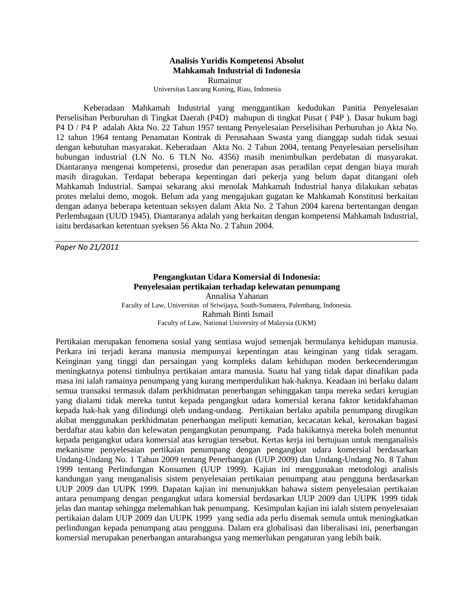# **Analisis Yuridis Kompetensi Absolut Mahkamah Industrial di Indonesia**

Rumainur Universitas Lancang Kuning, Riau, Indonesia

Keberadaan Mahkamah Industrial yang menggantikan kedudukan Panitia Penyelesaian Perselisihan Perburuhan di Tingkat Daerah (P4D) mahupun di tingkat Pusat ( P4P ). Dasar hukum bagi P4 D / P4 P adalah Akta No. 22 Tahun 1957 tentang Penyelesaian Perselisihan Perburuhan jo Akta No. 12 tahun 1964 tentang Penamatan Kontrak di Perusahaan Swasta yang dianggap sudah tidak sesuai dengan kebutuhan masyarakat. Keberadaan Akta No. 2 Tahun 2004, tentang Penyelesaian perselisihan hubungan industrial (LN No. 6 TLN No. 4356) masih menimbulkan perdebatan di masyarakat. Diantaranya mengenai kompetensi, prosedur dan penerapan asas peradilan cepat dengan biaya murah masih diragukan. Terdapat beberapa kepentingan dari pekerja yang belum dapat ditangani oleh Mahkamah Industrial. Sampai sekarang aksi menolak Mahkamah Industrial hanya dilakukan sebatas protes melalui demo, mogok. Belum ada yang mengajukan gugatan ke Mahkamah Konstitusi berkaitan dengan adanya beberapa ketentuan seksyen dalam Akta No. 2 Tahun 2004 karena bertentangan dengan Perlembagaan (UUD 1945). Diantaranya adalah yang berkaitan dengan kompetensi Mahkamah Industrial, iaitu berdasarkan ketentuan syeksen 56 Akta No. 2 Tahun 2004.

*Paper No 21/2011*

## **Pengangkutan Udara Komersial di Indonesia: Penyelesaian pertikaian terhadap kelewatan penumpang**  Annalisa Yahanan Faculty of Law, Universitas of Sriwijaya, South-Sumatera, Palembang, Indonesia. Rahmah Binti Ismail Faculty of Law, National University of Malaysia (UKM)

Pertikaian merupakan fenomena sosial yang sentiasa wujud semenjak bermulanya kehidupan manusia. Perkara ini terjadi kerana manusia mempunyai kepentingan atau keinginan yang tidak seragam. Keinginan yang tinggi dan persaingan yang kompleks dalam kehidupan moden berkecenderungan meningkatnya potensi timbulnya pertikaian antara manusia. Suatu hal yang tidak dapat dinafikan pada masa ini ialah ramainya penumpang yang kurang memperdulikan hak-haknya. Keadaan ini berlaku dalam semua transaksi termasuk dalam perkhidmatan penerbangan sehinggakan tanpa mereka sedari kerugian yang dialami tidak mereka tuntut kepada pengangkut udara komersial kerana faktor ketidakfahaman kepada hak-hak yang dilindungi oleh undang-undang. Pertikaian berlaku apabila penumpang dirugikan akibat menggunakan perkhidmatan penerbangan meliputi kematian, kecacatan kekal, kerosakan bagasi berdaftar atau kabin dan kelewatan pengangkutan penumpang. Pada hakikatnya mereka boleh menuntut kepada pengangkut udara komersial atas kerugian tersebut. Kertas kerja ini bertujuan untuk menganalisis mekanisme penyelesaian pertikaian penumpang dengan pengangkut udara komersial berdasarkan Undang-Undang No. 1 Tahun 2009 tentang Penerbangan (UUP 2009) dan Undang-Undang No. 8 Tahun 1999 tentang Perlindungan Konsumen (UUP 1999). Kajian ini menggunakan metodologi analisis kandungan yang menganalisis sistem penyelesaian pertikaian penumpang atau pengguna berdasarkan UUP 2009 dan UUPK 1999. Dapatan kajian ini menunjukkan bahawa sistem penyelesaian pertikaian antara penumpang dengan pengangkut udara komersial berdasarkan UUP 2009 dan UUPK 1999 tidak jelas dan mantap sehingga melemahkan hak penumpang. Kesimpulan kajian ini ialah sistem penyelesaian pertikaian dalam UUP 2009 dan UUPK 1999 yang sedia ada perlu disemak semula untuk meningkatkan perlindungan kepada penumpang atau pengguna. Dalam era globalisasi dan liberalisasi ini, penerbangan komersial merupakan penerbangan antarabangsa yang memerlukan pengaturan yang lebih baik.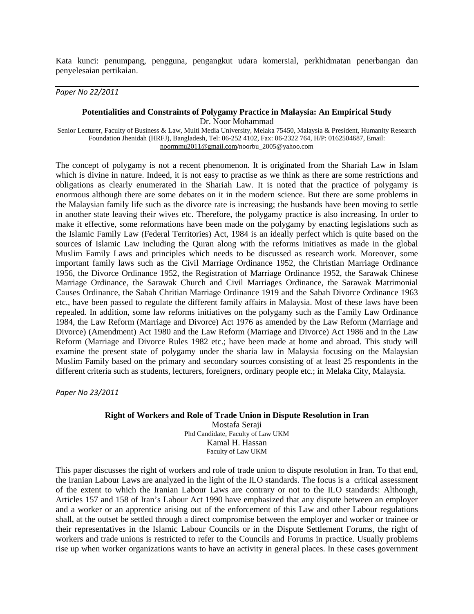Kata kunci: penumpang, pengguna, pengangkut udara komersial, perkhidmatan penerbangan dan penyelesaian pertikaian.

### *Paper No 22/2011*

#### **Potentialities and Constraints of Polygamy Practice in Malaysia: An Empirical Study**

Dr. Noor Mohammad

Senior Lecturer, Faculty of Business & Law, Multi Media University, Melaka 75450, Malaysia & President, Humanity Research Foundation Jhenidah (HRFJ), Bangladesh, Tel: 06-252 4102, Fax: 06-2322 764, H/P: 0162504687, Email: [noormmu2011@gmail.com/n](mailto:noormmu2011@gmail.com)oorbu\_2005@yahoo.com

The concept of polygamy is not a recent phenomenon. It is originated from the Shariah Law in Islam which is divine in nature. Indeed, it is not easy to practise as we think as there are some restrictions and obligations as clearly enumerated in the Shariah Law. It is noted that the practice of polygamy is enormous although there are some debates on it in the modern science. But there are some problems in the Malaysian family life such as the divorce rate is increasing; the husbands have been moving to settle in another state leaving their wives etc. Therefore, the polygamy practice is also increasing. In order to make it effective, some reformations have been made on the polygamy by enacting legislations such as the Islamic Family Law (Federal Territories) Act, 1984 is an ideally perfect which is quite based on the sources of Islamic Law including the Quran along with the reforms initiatives as made in the global Muslim Family Laws and principles which needs to be discussed as research work. Moreover, some important family laws such as the Civil Marriage Ordinance 1952, the Christian Marriage Ordinance 1956, the Divorce Ordinance 1952, the Registration of Marriage Ordinance 1952, the Sarawak Chinese Marriage Ordinance, the Sarawak Church and Civil Marriages Ordinance, the Sarawak Matrimonial Causes Ordinance, the Sabah Chritian Marriage Ordinance 1919 and the Sabah Divorce Ordinance 1963 etc., have been passed to regulate the different family affairs in Malaysia. Most of these laws have been repealed. In addition, some law reforms initiatives on the polygamy such as the Family Law Ordinance 1984, the Law Reform (Marriage and Divorce) Act 1976 as amended by the Law Reform (Marriage and Divorce) (Amendment) Act 1980 and the Law Reform (Marriage and Divorce) Act 1986 and in the Law Reform (Marriage and Divorce Rules 1982 etc.; have been made at home and abroad. This study will examine the present state of polygamy under the sharia law in Malaysia focusing on the Malaysian Muslim Family based on the primary and secondary sources consisting of at least 25 respondents in the different criteria such as students, lecturers, foreigners, ordinary people etc.; in Melaka City, Malaysia.

*Paper No 23/2011*

# **Right of Workers and Role of Trade Union in Dispute Resolution in Iran** Mostafa Seraji

Phd Candidate, Faculty of Law UKM Kamal H. Hassan Faculty of Law UKM

This paper discusses the right of workers and role of trade union to dispute resolution in Iran. To that end, the Iranian Labour Laws are analyzed in the light of the ILO standards. The focus is a critical assessment of the extent to which the Iranian Labour Laws are contrary or not to the ILO standards: Although, Articles 157 and 158 of Iran's Labour Act 1990 have emphasized that any dispute between an employer and a worker or an apprentice arising out of the enforcement of this Law and other Labour regulations shall, at the outset be settled through a direct compromise between the employer and worker or trainee or their representatives in the Islamic Labour Councils or in the Dispute Settlement Forums, the right of workers and trade unions is restricted to refer to the Councils and Forums in practice. Usually problems rise up when worker organizations wants to have an activity in general places. In these cases government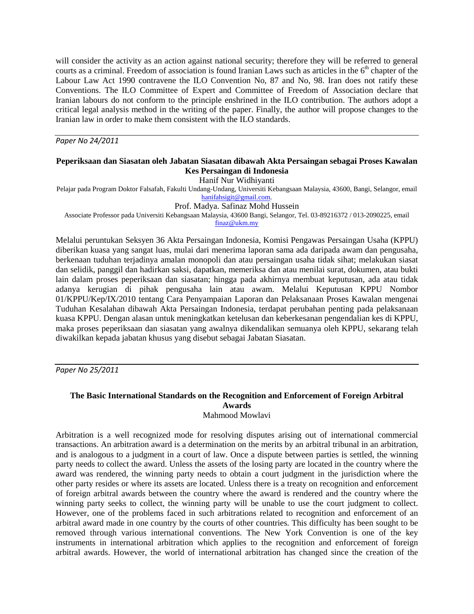will consider the activity as an action against national security; therefore they will be referred to general courts as a criminal. Freedom of association is found Iranian Laws such as articles in the  $6<sup>th</sup>$  chapter of the Labour Law Act 1990 contravene the ILO Convention No, 87 and No, 98. Iran does not ratify these Conventions. The ILO Committee of Expert and Committee of Freedom of Association declare that Iranian labours do not conform to the principle enshrined in the ILO contribution. The authors adopt a critical legal analysis method in the writing of the paper. Finally, the author will propose changes to the Iranian law in order to make them consistent with the ILO standards.

*Paper No 24/2011*

## **Peperiksaan dan Siasatan oleh Jabatan Siasatan dibawah Akta Persaingan sebagai Proses Kawalan Kes Persaingan di Indonesia**

Hanif Nur Widhiyanti

Pelajar pada Program Doktor Falsafah, Fakulti Undang-Undang, Universiti Kebangsaan Malaysia, 43600, Bangi, Selangor, email [hanifahsigit@gmail.com.](mailto:hanifahsigit@gmail.com)

Prof. Madya. Safinaz Mohd Hussein

Associate Professor pada Universiti Kebangsaan Malaysia, 43600 Bangi, Selangor, Tel. 03-89216372 / 013-2090225, email [finaz@ukm.my](mailto:finaz@ukm.my)

Melalui peruntukan Seksyen 36 Akta Persaingan Indonesia, Komisi Pengawas Persaingan Usaha (KPPU) diberikan kuasa yang sangat luas, mulai dari menerima laporan sama ada daripada awam dan pengusaha, berkenaan tuduhan terjadinya amalan monopoli dan atau persaingan usaha tidak sihat; melakukan siasat dan selidik, panggil dan hadirkan saksi, dapatkan, memeriksa dan atau menilai surat, dokumen, atau bukti lain dalam proses peperiksaan dan siasatan; hingga pada akhirnya membuat keputusan, ada atau tidak adanya kerugian di pihak pengusaha lain atau awam. Melalui Keputusan KPPU Nombor 01/KPPU/Kep/IX/2010 tentang Cara Penyampaian Laporan dan Pelaksanaan Proses Kawalan mengenai Tuduhan Kesalahan dibawah Akta Persaingan Indonesia, terdapat perubahan penting pada pelaksanaan kuasa KPPU. Dengan alasan untuk meningkatkan ketelusan dan keberkesanan pengendalian kes di KPPU, maka proses peperiksaan dan siasatan yang awalnya dikendalikan semuanya oleh KPPU, sekarang telah diwakilkan kepada jabatan khusus yang disebut sebagai Jabatan Siasatan.

*Paper No 25/2011*

## **The Basic International Standards on the Recognition and Enforcement of Foreign Arbitral Awards**  Mahmood Mowlavi

Arbitration is a well recognized mode for resolving disputes arising out of international commercial transactions. An arbitration award is a determination on the merits by an arbitral tribunal in an arbitration, and is analogous to a judgment in a court of law. Once a dispute between parties is settled, the winning party needs to collect the award. Unless the assets of the losing party are located in the country where the award was rendered, the winning party needs to obtain a court judgment in the jurisdiction where the other party resides or where its assets are located. Unless there is a treaty on recognition and enforcement of foreign arbitral awards between the country where the award is rendered and the country where the winning party seeks to collect, the winning party will be unable to use the court judgment to collect. However, one of the problems faced in such arbitrations related to recognition and enforcement of an arbitral award made in one country by the courts of other countries. This difficulty has been sought to be removed through various international conventions. The New York Convention is one of the key instruments in international arbitration which applies to the recognition and enforcement of foreign arbitral awards. However, the world of international arbitration has changed since the creation of the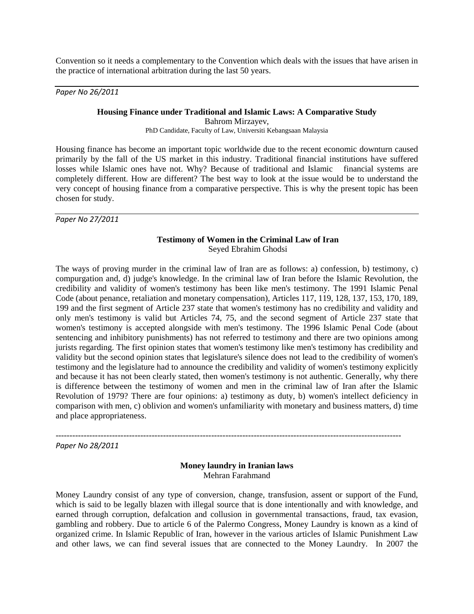Convention so it needs a complementary to the Convention which deals with the issues that have arisen in the practice of international arbitration during the last 50 years.

*Paper No 26/2011*

#### **Housing Finance under Traditional and Islamic Laws: A Comparative Study**

Bahrom Mirzayev, PhD Candidate, Faculty of Law, Universiti Kebangsaan Malaysia

Housing finance has become an important topic worldwide due to the recent economic downturn caused primarily by the fall of the US market in this industry. Traditional financial institutions have suffered losses while Islamic ones have not. Why? Because of traditional and Islamic financial systems are completely different. How are different? The best way to look at the issue would be to understand the very concept of housing finance from a comparative perspective. This is why the present topic has been chosen for study.

*Paper No 27/2011*

## **Testimony of Women in the Criminal Law of Iran** Seyed Ebrahim Ghodsi

The ways of proving murder in the criminal law of Iran are as follows: a) confession, b) testimony, c) compurgation and, d) judge's knowledge. In the criminal law of Iran before the Islamic Revolution, the credibility and validity of women's testimony has been like men's testimony. The 1991 Islamic Penal Code (about penance, retaliation and monetary compensation), Articles 117, 119, 128, 137, 153, 170, 189, 199 and the first segment of Article 237 state that women's testimony has no credibility and validity and only men's testimony is valid but Articles 74, 75, and the second segment of Article 237 state that women's testimony is accepted alongside with men's testimony. The 1996 Islamic Penal Code (about sentencing and inhibitory punishments) has not referred to testimony and there are two opinions among jurists regarding. The first opinion states that women's testimony like men's testimony has credibility and validity but the second opinion states that legislature's silence does not lead to the credibility of women's testimony and the legislature had to announce the credibility and validity of women's testimony explicitly and because it has not been clearly stated, then women's testimony is not authentic. Generally, why there is difference between the testimony of women and men in the criminal law of Iran after the Islamic Revolution of 1979? There are four opinions: a) testimony as duty, b) women's intellect deficiency in comparison with men, c) oblivion and women's unfamiliarity with monetary and business matters, d) time and place appropriateness.

-------------------------------------------------------------------------------------------------------------------------- *Paper No 28/2011*

## **Money laundry in Iranian laws** Mehran Farahmand

Money Laundry consist of any type of conversion, change, transfusion, assent or support of the Fund, which is said to be legally blazen with illegal source that is done intentionally and with knowledge, and earned through corruption, defalcation and collusion in governmental transactions, fraud, tax evasion, gambling and robbery. Due to article 6 of the Palermo Congress, Money Laundry is known as a kind of organized crime. In Islamic Republic of Iran, however in the various articles of Islamic Punishment Law and other laws, we can find several issues that are connected to the Money Laundry. In 2007 the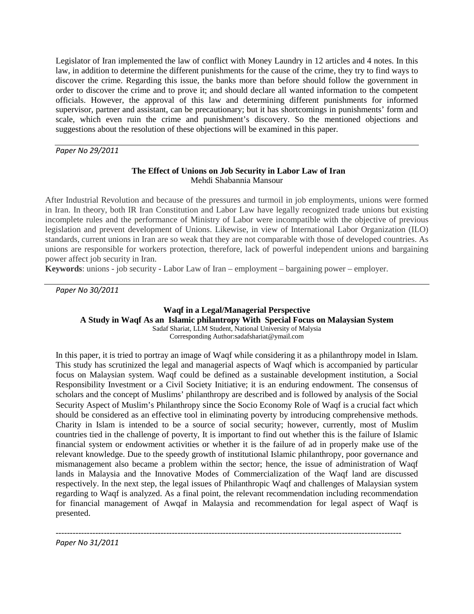Legislator of Iran implemented the law of conflict with Money Laundry in 12 articles and 4 notes. In this law, in addition to determine the different punishments for the cause of the crime, they try to find ways to discover the crime. Regarding this issue, the banks more than before should follow the government in order to discover the crime and to prove it; and should declare all wanted information to the competent officials. However, the approval of this law and determining different punishments for informed supervisor, partner and assistant, can be precautionary; but it has shortcomings in punishments' form and scale, which even ruin the crime and punishment's discovery. So the mentioned objections and suggestions about the resolution of these objections will be examined in this paper.

*Paper No 29/2011*

## **The Effect of Unions on Job Security in Labor Law of Iran** Mehdi Shabannia Mansour

After Industrial Revolution and because of the pressures and turmoil in job employments, unions were formed in Iran. In theory, both IR Iran Constitution and Labor Law have legally recognized trade unions but existing incomplete rules and the performance of Ministry of Labor were incompatible with the objective of previous legislation and prevent development of Unions. Likewise, in view of International Labor Organization (ILO) standards, current unions in Iran are so weak that they are not comparable with those of developed countries. As unions are responsible for workers protection, therefore, lack of powerful independent unions and bargaining power affect job security in Iran.

**Keywords**: unions - job security - Labor Law of Iran – employment – bargaining power – employer.

*Paper No 30/2011*

**Waqf in a Legal/Managerial Perspective A Study in Waqf As an Islamic philantropy With Special Focus on Malaysian System** Sadaf Shariat, LLM Student, National University of Malysia Corresponding Author:sadafshariat@ymail.com

In this paper, it is tried to portray an image of Waqf while considering it as a philanthropy model in Islam. This study has scrutinized the legal and managerial aspects of Waqf which is accompanied by particular focus on Malaysian system. Waqf could be defined as a sustainable development institution, a Social Responsibility Investment or a Civil Society Initiative; it is an enduring endowment. The consensus of scholars and the concept of Muslims' philanthropy are described and is followed by analysis of the Social Security Aspect of Muslim's Philanthropy since the Socio Economy Role of Waqf is a crucial fact which should be considered as an effective tool in eliminating poverty by introducing comprehensive methods. Charity in Islam is intended to be a source of social security; however, currently, most of Muslim countries tied in the challenge of poverty, It is important to find out whether this is the failure of Islamic financial system or endowment activities or whether it is the failure of ad in properly make use of the relevant knowledge. Due to the speedy growth of institutional Islamic philanthropy, poor governance and mismanagement also became a problem within the sector; hence, the issue of administration of Waqf lands in Malaysia and the Innovative Modes of Commercialization of the Waqf land are discussed respectively. In the next step, the legal issues of Philanthropic Waqf and challenges of Malaysian system regarding to Waqf is analyzed. As a final point, the relevant recommendation including recommendation for financial management of Awqaf in Malaysia and recommendation for legal aspect of Waqf is presented.

--------------------------------------------------------------------------------------------------------------------------

*Paper No 31/2011*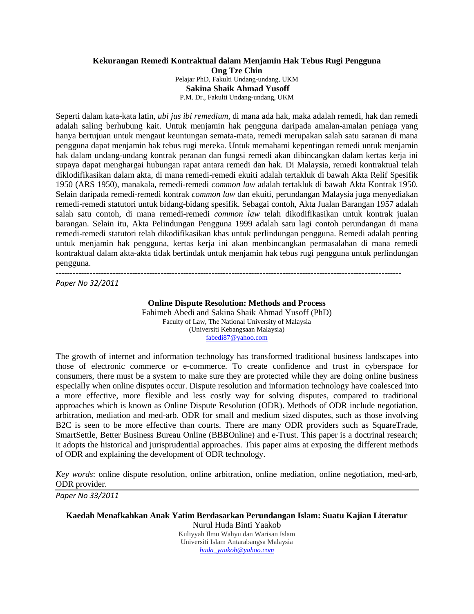## **Kekurangan Remedi Kontraktual dalam Menjamin Hak Tebus Rugi Pengguna Ong Tze Chin**  Pelajar PhD, Fakulti Undang-undang, UKM **Sakina Shaik Ahmad Yusoff** P.M. Dr., Fakulti Undang-undang, UKM

Seperti dalam kata-kata latin, *ubi jus ibi remedium*, di mana ada hak, maka adalah remedi, hak dan remedi adalah saling berhubung kait. Untuk menjamin hak pengguna daripada amalan-amalan peniaga yang hanya bertujuan untuk mengaut keuntungan semata-mata, remedi merupakan salah satu saranan di mana pengguna dapat menjamin hak tebus rugi mereka. Untuk memahami kepentingan remedi untuk menjamin hak dalam undang-undang kontrak peranan dan fungsi remedi akan dibincangkan dalam kertas kerja ini supaya dapat menghargai hubungan rapat antara remedi dan hak. Di Malaysia, remedi kontraktual telah diklodifikasikan dalam akta, di mana remedi-remedi ekuiti adalah tertakluk di bawah Akta Relif Spesifik 1950 (ARS 1950), manakala, remedi-remedi *common law* adalah tertakluk di bawah Akta Kontrak 1950. Selain daripada remedi-remedi kontrak *common law* dan ekuiti, perundangan Malaysia juga menyediakan remedi-remedi statutori untuk bidang-bidang spesifik. Sebagai contoh, Akta Jualan Barangan 1957 adalah salah satu contoh, di mana remedi-remedi *common law* telah dikodifikasikan untuk kontrak jualan barangan. Selain itu, Akta Pelindungan Pengguna 1999 adalah satu lagi contoh perundangan di mana remedi-remedi statutori telah dikodifikasikan khas untuk perlindungan pengguna. Remedi adalah penting untuk menjamin hak pengguna, kertas kerja ini akan menbincangkan permasalahan di mana remedi kontraktual dalam akta-akta tidak bertindak untuk menjamin hak tebus rugi pengguna untuk perlindungan pengguna.

*Paper No 32/2011*

# **Online Dispute Resolution: Methods and Process**

--------------------------------------------------------------------------------------------------------------------------

Fahimeh Abedi and Sakina Shaik Ahmad Yusoff (PhD) Faculty of Law, The National University of Malaysia (Universiti Kebangsaan Malaysia) [fabedi87@yahoo.com](mailto:fabedi12@yahoo.com)

The growth of internet and information technology has transformed traditional business landscapes into those of electronic commerce or e-commerce. To create confidence and trust in cyberspace for consumers, there must be a system to make sure they are protected while they are doing online business especially when online disputes occur. Dispute resolution and information technology have coalesced into a more effective, more flexible and less costly way for solving disputes, compared to traditional approaches which is known as Online Dispute Resolution (ODR). Methods of ODR include negotiation, arbitration, mediation and med-arb. ODR for small and medium sized disputes, such as those involving B2C is seen to be more effective than courts. There are many ODR providers such as SquareTrade, SmartSettle, [Better Business Bureau Online \(](http://www.bbbonline.org/)BBBOnline) and e-Trust. This paper is a doctrinal research; it adopts the historical and jurisprudential approaches. This paper aims at exposing the different methods of ODR and explaining the development of ODR technology.

*Key words*: online dispute resolution, online arbitration, online mediation, online negotiation, med-arb, ODR provider.

*Paper No 33/2011*

**Kaedah Menafkahkan Anak Yatim Berdasarkan Perundangan Islam: Suatu Kajian Literatur**

Nurul Huda Binti Yaakob Kuliyyah Ilmu Wahyu dan Warisan Islam Universiti Islam Antarabangsa Malaysia *[huda\\_yaakob@yahoo.com](mailto:huda_yaakob@yahoo.com)*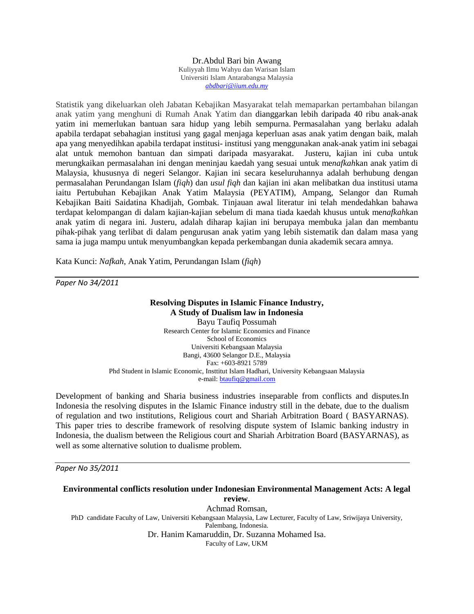#### Dr.Abdul Bari bin Awang Kuliyyah Ilmu Wahyu dan Warisan Islam Universiti Islam Antarabangsa Malaysia *[abdbari@iium.edu.my](mailto:abdbari@iium.edu.my)*

Statistik yang dikeluarkan oleh Jabatan Kebajikan Masyarakat telah memaparkan pertambahan bilangan anak yatim yang menghuni di Rumah Anak Yatim dan dianggarkan lebih daripada 40 ribu anak-anak yatim ini memerlukan bantuan sara hidup yang lebih sempurna. Permasalahan yang berlaku adalah apabila terdapat sebahagian institusi yang gagal menjaga keperluan asas anak yatim dengan baik, malah apa yang menyedihkan apabila terdapat institusi- institusi yang menggunakan anak-anak yatim ini sebagai alat untuk memohon bantuan dan simpati daripada masyarakat. Justeru, kajian ini cuba untuk merungkaikan permasalahan ini dengan meninjau kaedah yang sesuai untuk me*nafkah*kan anak yatim di Malaysia, khususnya di negeri Selangor. Kajian ini secara keseluruhannya adalah berhubung dengan permasalahan Perundangan Islam (*fiqh*) dan *usul fiqh* dan kajian ini akan melibatkan dua institusi utama iaitu Pertubuhan Kebajikan Anak Yatim Malaysia (PEYATIM), Ampang, Selangor dan Rumah Kebajikan Baiti Saidatina Khadijah, Gombak. Tinjauan awal literatur ini telah mendedahkan bahawa terdapat kelompangan di dalam kajian-kajian sebelum di mana tiada kaedah khusus untuk me*nafkah*kan anak yatim di negara ini. Justeru, adalah diharap kajian ini berupaya membuka jalan dan membantu pihak-pihak yang terlibat di dalam pengurusan anak yatim yang lebih sistematik dan dalam masa yang sama ia juga mampu untuk menyumbangkan kepada perkembangan dunia akademik secara amnya.

Kata Kunci: *Nafkah*, Anak Yatim, Perundangan Islam (*fiqh*)

*Paper No 34/2011*

#### **Resolving Disputes in Islamic Finance Industry, A Study of Dualism law in Indonesia**

Bayu Taufiq Possumah Research Center for Islamic Economics and Finance School of Economics Universiti Kebangsaan Malaysia Bangi, 43600 Selangor D.E., Malaysia Fax: +603-8921 5789 Phd Student in Islamic Economic, Insttitut Islam Hadhari, University Kebangsaan Malaysia e-mail: [btaufiq@gmail.com](mailto:btaufiq@gmail.com)

Development of banking and Sharia business industries inseparable from conflicts and disputes.In Indonesia the resolving disputes in the Islamic Finance industry still in the debate, due to the dualism of regulation and two institutions, Religious court and Shariah Arbitration Board ( BASYARNAS). This paper tries to describe framework of resolving dispute system of Islamic banking industry in Indonesia, the dualism between the Religious court and Shariah Arbitration Board (BASYARNAS), as well as some alternative solution to dualisme problem.

*Paper No 35/2011*

#### **Environmental conflicts resolution under Indonesian Environmental Management Acts: A legal review**. Achmad Romsan, PhD candidate Faculty of Law, Universiti Kebangsaan Malaysia, Law Lecturer, Faculty of Law, Sriwijaya University, Palembang, Indonesia. Dr. Hanim Kamaruddin, Dr. Suzanna Mohamed Isa. Faculty of Law, UKM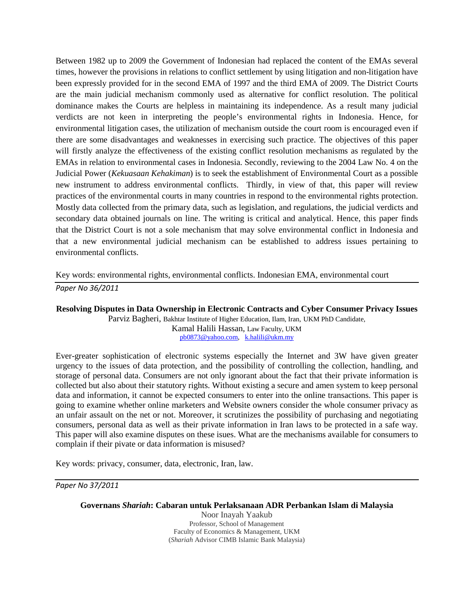Between 1982 up to 2009 the Government of Indonesian had replaced the content of the EMAs several times, however the provisions in relations to conflict settlement by using litigation and non-litigation have been expressly provided for in the second EMA of 1997 and the third EMA of 2009. The District Courts are the main judicial mechanism commonly used as alternative for conflict resolution. The political dominance makes the Courts are helpless in maintaining its independence. As a result many judicial verdicts are not keen in interpreting the people's environmental rights in Indonesia. Hence, for environmental litigation cases, the utilization of mechanism outside the court room is encouraged even if there are some disadvantages and weaknesses in exercising such practice. The objectives of this paper will firstly analyze the effectiveness of the existing conflict resolution mechanisms as regulated by the EMAs in relation to environmental cases in Indonesia. Secondly, reviewing to the 2004 Law No. 4 on the Judicial Power (*Kekuasaan Kehakiman*) is to seek the establishment of Environmental Court as a possible new instrument to address environmental conflicts. Thirdly, in view of that, this paper will review practices of the environmental courts in many countries in respond to the environmental rights protection. Mostly data collected from the primary data, such as legislation, and regulations, the judicial verdicts and secondary data obtained journals on line. The writing is critical and analytical. Hence, this paper finds that the District Court is not a sole mechanism that may solve environmental conflict in Indonesia and that a new environmental judicial mechanism can be established to address issues pertaining to environmental conflicts.

Key words: environmental rights, environmental conflicts. Indonesian EMA, environmental court *Paper No 36/2011*

## **Resolving Disputes in Data Ownership in Electronic Contracts and Cyber Consumer Privacy Issues**

Parviz Bagheri, Bakhtar Institute of Higher Education, Ilam, Iran, UKM PhD Candidate, Kamal Halili Hassan, Law Faculty, UKM [pb0873@yahoo.com,](mailto:pb0873@yahoo.com) [k.halili@ukm.my](http://us.mg4.mail.yahoo.com/yab-fe/mu/MainView?.src=neo&themeName=green&stab=1311512892992)

Ever-greater sophistication of electronic systems especially the Internet and 3W have given greater urgency to the issues of data protection, and the possibility of controlling the collection, handling, and storage of personal data. Consumers are not only ignorant about the fact that their private information is collected but also about their statutory rights. Without existing a secure and amen system to keep personal data and information, it cannot be expected consumers to enter into the online transactions. This paper is going to examine whether online marketers and Website owners consider the whole consumer privacy as an unfair assault on the net or not. Moreover, it scrutinizes the possibility of purchasing and negotiating consumers, personal data as well as their private information in Iran laws to be protected in a safe way. This paper will also examine disputes on these isues. What are the mechanisms available for consumers to complain if their pivate or data information is misused?

Key words: privacy, consumer, data, electronic, Iran, law.

*Paper No 37/2011*

## **Governans** *Shariah***: Cabaran untuk Perlaksanaan ADR Perbankan Islam di Malaysia**

Noor Inayah Yaakub Professor, School of Management Faculty of Economics & Management, UKM (*Shariah* Advisor CIMB Islamic Bank Malaysia)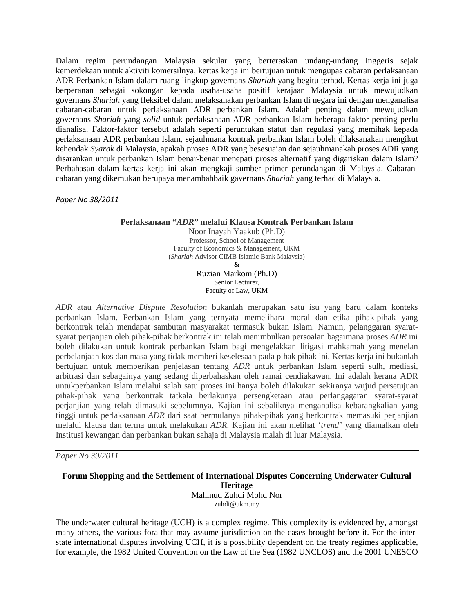Dalam regim perundangan Malaysia sekular yang berteraskan undang-undang Inggeris sejak kemerdekaan untuk aktiviti komersilnya, kertas kerja ini bertujuan untuk mengupas cabaran perlaksanaan ADR Perbankan Islam dalam ruang lingkup governans *Shariah* yang begitu terhad. Kertas kerja ini juga berperanan sebagai sokongan kepada usaha-usaha positif kerajaan Malaysia untuk mewujudkan governans *Shariah* yang fleksibel dalam melaksanakan perbankan Islam di negara ini dengan menganalisa cabaran-cabaran untuk perlaksanaan ADR perbankan Islam. Adalah penting dalam mewujudkan governans *Shariah* yang *solid* untuk perlaksanaan ADR perbankan Islam beberapa faktor penting perlu dianalisa. Faktor-faktor tersebut adalah seperti peruntukan statut dan regulasi yang memihak kepada perlaksanaan ADR perbankan Islam, sejauhmana kontrak perbankan Islam boleh dilaksanakan mengikut kehendak *Syarak* di Malaysia, apakah proses ADR yang besesuaian dan sejauhmanakah proses ADR yang disarankan untuk perbankan Islam benar-benar menepati proses alternatif yang digariskan dalam Islam? Perbahasan dalam kertas kerja ini akan mengkaji sumber primer perundangan di Malaysia. Cabarancabaran yang dikemukan berupaya menambahbaik gavernans *Shariah* yang terhad di Malaysia.

*Paper No 38/2011*

**Perlaksanaan "***ADR***" melalui Klausa Kontrak Perbankan Islam**

Noor Inayah Yaakub (Ph.D) Professor, School of Management Faculty of Economics & Management, UKM (*Shariah* Advisor CIMB Islamic Bank Malaysia) **&**

Ruzian Markom (Ph.D) Senior Lecturer, Faculty of Law, UKM

*ADR* atau *Alternative Dispute Resolution* bukanlah merupakan satu isu yang baru dalam konteks perbankan Islam. Perbankan Islam yang ternyata memelihara moral dan etika pihak-pihak yang berkontrak telah mendapat sambutan masyarakat termasuk bukan Islam. Namun, pelanggaran syaratsyarat perjanjian oleh pihak-pihak berkontrak ini telah menimbulkan persoalan bagaimana proses *ADR* ini boleh dilakukan untuk kontrak perbankan Islam bagi mengelakkan litigasi mahkamah yang menelan perbelanjaan kos dan masa yang tidak memberi keselesaan pada pihak pihak ini. Kertas kerja ini bukanlah bertujuan untuk memberikan penjelasan tentang *ADR* untuk perbankan Islam seperti sulh, mediasi, arbitrasi dan sebagainya yang sedang diperbahaskan oleh ramai cendiakawan. Ini adalah kerana ADR untukperbankan Islam melalui salah satu proses ini hanya boleh dilakukan sekiranya wujud persetujuan pihak-pihak yang berkontrak tatkala berlakunya persengketaan atau perlangagaran syarat-syarat perjanjian yang telah dimasuki sebelumnya. Kajian ini sebaliknya menganalisa kebarangkalian yang tinggi untuk perlaksanaan *ADR* dari saat bermulanya pihak-pihak yang berkontrak memasuki perjanjian melalui klausa dan terma untuk melakukan *ADR*. Kajian ini akan melihat '*trend'* yang diamalkan oleh Institusi kewangan dan perbankan bukan sahaja di Malaysia malah di luar Malaysia.

*Paper No 39/2011*

#### **Forum Shopping and the Settlement of International Disputes Concerning Underwater Cultural Heritage** Mahmud Zuhdi Mohd Nor zuhdi@ukm.my

The underwater cultural heritage (UCH) is a complex regime. This complexity is evidenced by, amongst many others, the various fora that may assume jurisdiction on the cases brought before it. For the interstate international disputes involving UCH, it is a possibility dependent on the treaty regimes applicable, for example, the 1982 United Convention on the Law of the Sea (1982 UNCLOS) and the 2001 UNESCO